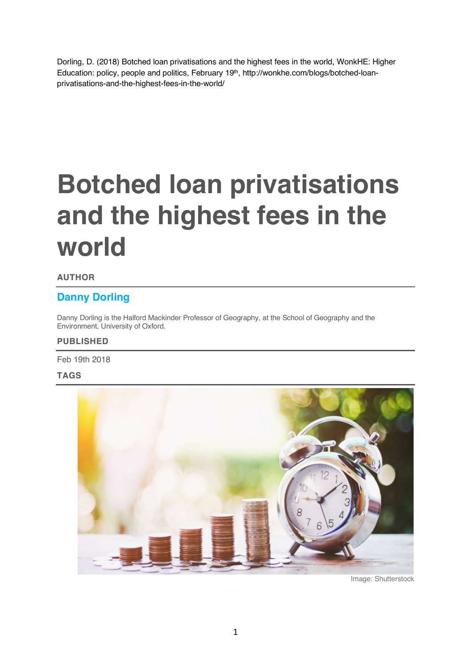Dorling, D. (2018) Botched loan privatisations and the highest fees in the world, WonkHE: Higher Education: policy, people and politics, February 19th, http://wonkhe.com/blogs/botched-loanprivatisations-and-the-highest-fees-in-the-world/

# **Botched loan privatisations and the highest fees in the world**

#### **AUTHOR**

### **Danny Dorling**

Danny Dorling is the Halford Mackinder Professor of Geography, at the School of Geography and the Environment, University of Oxford.

#### **PUBLISHED**

Feb 19th 2018

#### **TAGS**



Image: Shutterstock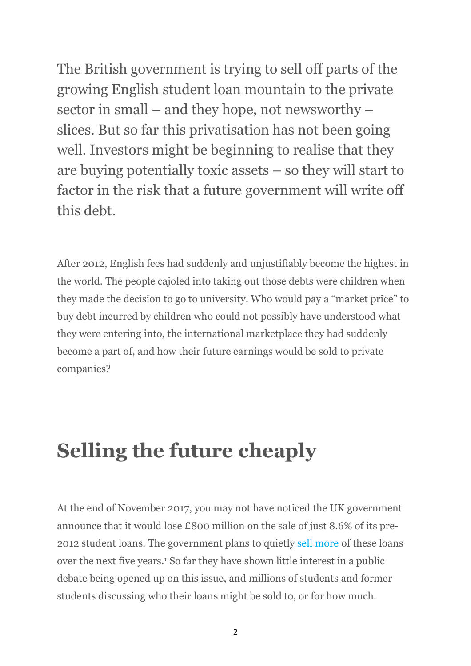The British government is trying to sell off parts of the growing English student loan mountain to the private sector in small – and they hope, not newsworthy – slices. But so far this privatisation has not been going well. Investors might be beginning to realise that they are buying potentially toxic assets – so they will start to factor in the risk that a future government will write off this debt.

After 2012, English fees had suddenly and unjustifiably become the highest in the world. The people cajoled into taking out those debts were children when they made the decision to go to university. Who would pay a "market price" to buy debt incurred by children who could not possibly have understood what they were entering into, the international marketplace they had suddenly become a part of, and how their future earnings would be sold to private companies?

### **Selling the future cheaply**

At the end of November 2017, you may not have noticed the UK government announce that it would lose £800 million on the sale of just 8.6% of its pre-2012 student loans. The government plans to quietly sell more of these loans over the next five years.1 So far they have shown little interest in a public debate being opened up on this issue, and millions of students and former students discussing who their loans might be sold to, or for how much.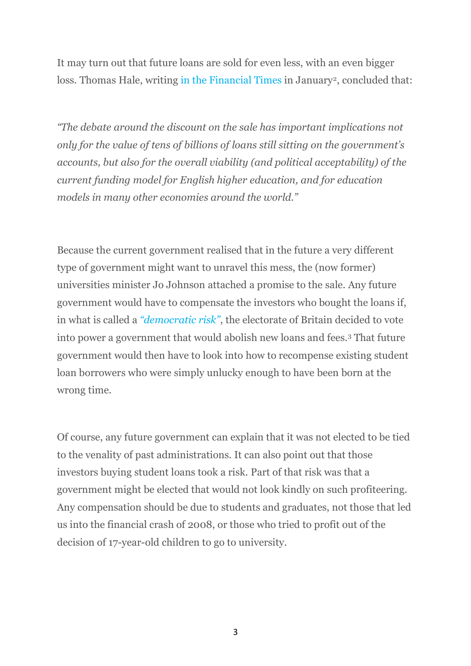It may turn out that future loans are sold for even less, with an even bigger loss. Thomas Hale, writing in the Financial Times in January<sup>2</sup>, concluded that:

*"The debate around the discount on the sale has important implications not only for the value of tens of billions of loans still sitting on the government's accounts, but also for the overall viability (and political acceptability) of the current funding model for English higher education, and for education models in many other economies around the world."*

Because the current government realised that in the future a very different type of government might want to unravel this mess, the (now former) universities minister Jo Johnson attached a promise to the sale. Any future government would have to compensate the investors who bought the loans if, in what is called a *"democratic risk"*, the electorate of Britain decided to vote into power a government that would abolish new loans and fees.3 That future government would then have to look into how to recompense existing student loan borrowers who were simply unlucky enough to have been born at the wrong time.

Of course, any future government can explain that it was not elected to be tied to the venality of past administrations. It can also point out that those investors buying student loans took a risk. Part of that risk was that a government might be elected that would not look kindly on such profiteering. Any compensation should be due to students and graduates, not those that led us into the financial crash of 2008, or those who tried to profit out of the decision of 17-year-old children to go to university.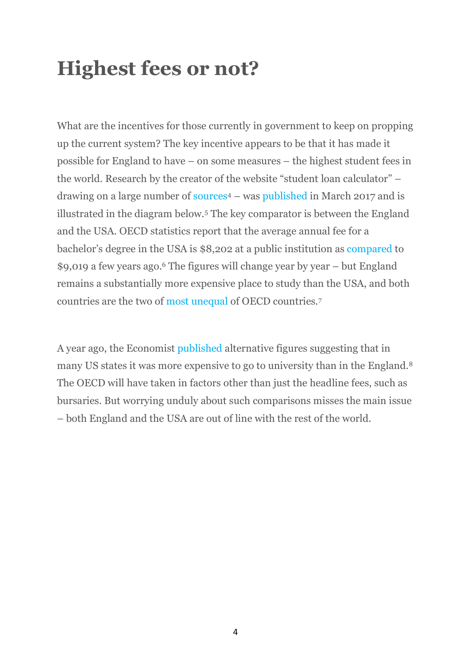### **Highest fees or not?**

What are the incentives for those currently in government to keep on propping up the current system? The key incentive appears to be that it has made it possible for England to have – on some measures – the highest student fees in the world. Research by the creator of the website "student loan calculator" – drawing on a large number of sources4 – was published in March 2017 and is illustrated in the diagram below.5 The key comparator is between the England and the USA. OECD statistics report that the average annual fee for a bachelor's degree in the USA is \$8,202 at a public institution as compared to \$9,019 a few years ago.6 The figures will change year by year – but England remains a substantially more expensive place to study than the USA, and both countries are the two of most unequal of OECD countries.7

A year ago, the Economist published alternative figures suggesting that in many US states it was more expensive to go to university than in the England.8 The OECD will have taken in factors other than just the headline fees, such as bursaries. But worrying unduly about such comparisons misses the main issue – both England and the USA are out of line with the rest of the world.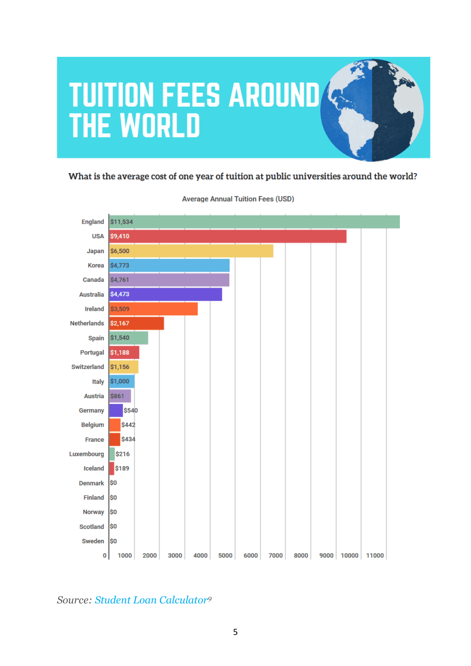

#### What is the average cost of one year of tuition at public universities around the world?



#### **Average Annual Tuition Fees (USD)**

### *Source: Student Loan Calculator9*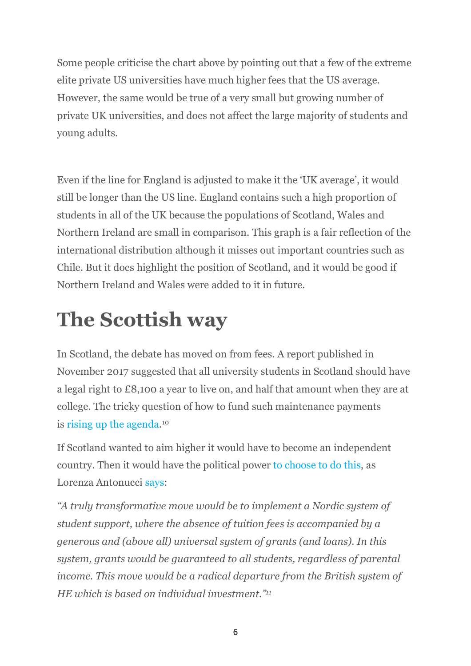Some people criticise the chart above by pointing out that a few of the extreme elite private US universities have much higher fees that the US average. However, the same would be true of a very small but growing number of private UK universities, and does not affect the large majority of students and young adults.

Even if the line for England is adjusted to make it the 'UK average', it would still be longer than the US line. England contains such a high proportion of students in all of the UK because the populations of Scotland, Wales and Northern Ireland are small in comparison. This graph is a fair reflection of the international distribution although it misses out important countries such as Chile. But it does highlight the position of Scotland, and it would be good if Northern Ireland and Wales were added to it in future.

## **The Scottish way**

In Scotland, the debate has moved on from fees. A report published in November 2017 suggested that all university students in Scotland should have a legal right to £8,100 a year to live on, and half that amount when they are at college. The tricky question of how to fund such maintenance payments is rising up the agenda.10

If Scotland wanted to aim higher it would have to become an independent country. Then it would have the political power to choose to do this, as Lorenza Antonucci says:

*"A truly transformative move would be to implement a Nordic system of student support, where the absence of tuition fees is accompanied by a generous and (above all) universal system of grants (and loans). In this system, grants would be guaranteed to all students, regardless of parental income. This move would be a radical departure from the British system of HE which is based on individual investment."11*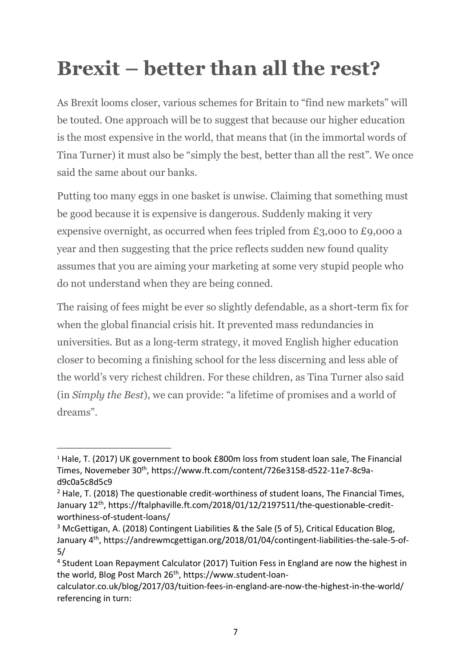# **Brexit – better than all the rest?**

As Brexit looms closer, various schemes for Britain to "find new markets" will be touted. One approach will be to suggest that because our higher education is the most expensive in the world, that means that (in the immortal words of Tina Turner) it must also be "simply the best, better than all the rest". We once said the same about our banks.

Putting too many eggs in one basket is unwise. Claiming that something must be good because it is expensive is dangerous. Suddenly making it very expensive overnight, as occurred when fees tripled from £3,000 to £9,000 a year and then suggesting that the price reflects sudden new found quality assumes that you are aiming your marketing at some very stupid people who do not understand when they are being conned.

The raising of fees might be ever so slightly defendable, as a short-term fix for when the global financial crisis hit. It prevented mass redundancies in universities. But as a long-term strategy, it moved English higher education closer to becoming a finishing school for the less discerning and less able of the world's very richest children. For these children, as Tina Turner also said (in *Simply the Best*), we can provide: "a lifetime of promises and a world of dreams".

 $\overline{a}$ 

<sup>&</sup>lt;sup>1</sup> Hale, T. (2017) UK government to book £800m loss from student loan sale, The Financial Times, Novemeber 30th, https://www.ft.com/content/726e3158-d522-11e7-8c9ad9c0a5c8d5c9

 $2$  Hale, T. (2018) The questionable credit-worthiness of student loans, The Financial Times, January 12th, https://ftalphaville.ft.com/2018/01/12/2197511/the-questionable-creditworthiness-of-student-loans/

<sup>&</sup>lt;sup>3</sup> McGettigan, A. (2018) Contingent Liabilities & the Sale (5 of 5), Critical Education Blog, January 4th, https://andrewmcgettigan.org/2018/01/04/contingent-liabilities-the-sale-5-of-5/

<sup>4</sup> Student Loan Repayment Calculator (2017) Tuition Fess in England are now the highest in the world, Blog Post March 26<sup>th</sup>, https://www.student-loan-

calculator.co.uk/blog/2017/03/tuition-fees-in-england-are-now-the-highest-in-the-world/ referencing in turn: